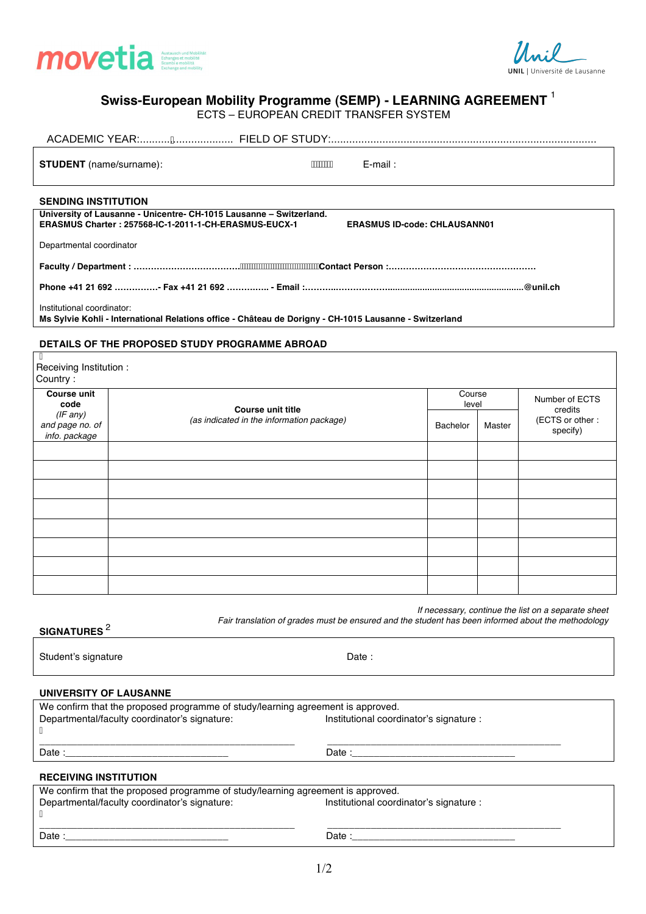



# **Swiss-European Mobility Programme (SEMP) - LEARNING AGREEMENT** 1

ECTS – EUROPEAN CREDIT TRANSFER SYSTEM

| <b>STUDENT</b> (name/surname):                                                                                                       | ÁÁÁÁÁÁÁÁ<br>$E$ -mail:                                                                             |                 |        |                                                          |  |  |  |  |
|--------------------------------------------------------------------------------------------------------------------------------------|----------------------------------------------------------------------------------------------------|-----------------|--------|----------------------------------------------------------|--|--|--|--|
| <b>SENDING INSTITUTION</b>                                                                                                           | University of Lausanne - Unicentre- CH-1015 Lausanne - Switzerland.                                |                 |        |                                                          |  |  |  |  |
|                                                                                                                                      | ERASMUS Charter: 257568-IC-1-2011-1-CH-ERASMUS-EUCX-1<br><b>ERASMUS ID-code: CHLAUSANN01</b>       |                 |        |                                                          |  |  |  |  |
| Departmental coordinator                                                                                                             |                                                                                                    |                 |        |                                                          |  |  |  |  |
|                                                                                                                                      |                                                                                                    |                 |        |                                                          |  |  |  |  |
|                                                                                                                                      |                                                                                                    |                 |        |                                                          |  |  |  |  |
| Institutional coordinator:<br>Ms Sylvie Kohli - International Relations office - Château de Dorigny - CH-1015 Lausanne - Switzerland |                                                                                                    |                 |        |                                                          |  |  |  |  |
|                                                                                                                                      | DETAILS OF THE PROPOSED STUDY PROGRAMME ABROAD                                                     |                 |        |                                                          |  |  |  |  |
| A<br>Receiving Institution :<br>Country:                                                                                             |                                                                                                    |                 |        |                                                          |  |  |  |  |
| <b>Course unit</b><br>code                                                                                                           | <b>Course unit title</b>                                                                           | Course<br>level |        | Number of ECTS<br>credits<br>(ECTS or other:<br>specify) |  |  |  |  |
| $(IF$ any)<br>and page no. of<br>info. package                                                                                       | (as indicated in the information package)                                                          | <b>Bachelor</b> | Master |                                                          |  |  |  |  |
|                                                                                                                                      |                                                                                                    |                 |        |                                                          |  |  |  |  |
|                                                                                                                                      |                                                                                                    |                 |        |                                                          |  |  |  |  |
|                                                                                                                                      |                                                                                                    |                 |        |                                                          |  |  |  |  |
|                                                                                                                                      |                                                                                                    |                 |        |                                                          |  |  |  |  |
|                                                                                                                                      |                                                                                                    |                 |        |                                                          |  |  |  |  |
|                                                                                                                                      |                                                                                                    |                 |        |                                                          |  |  |  |  |
|                                                                                                                                      |                                                                                                    |                 |        |                                                          |  |  |  |  |
|                                                                                                                                      |                                                                                                    |                 |        |                                                          |  |  |  |  |
| SIGNATURES <sup>2</sup>                                                                                                              | Fair translation of grades must be ensured and the student has been informed about the methodology |                 |        | If necessary, continue the list on a separate sheet      |  |  |  |  |

Student's signature Date : **UNIVERSITY OF LAUSANNE** We confirm that the proposed programme of study/learning agreement is approved.<br>Departmental/faculty coordinator's signature: listitutional coordinator's signature : Departmental/faculty coordinator's signature: Á \_\_\_\_\_\_\_\_\_\_\_\_\_\_\_\_\_\_\_\_\_\_\_\_\_\_\_\_\_\_\_\_\_\_\_\_\_\_\_\_\_\_\_\_\_\_\_ \_\_\_\_\_\_\_\_\_\_\_\_\_\_\_\_\_\_\_\_\_\_\_\_\_\_\_\_\_\_\_\_\_\_\_\_\_\_\_\_\_\_\_ Date :\_\_\_\_\_\_\_\_\_\_\_\_\_\_\_\_\_\_\_\_\_\_\_\_\_\_\_\_\_\_ Date :\_\_\_\_\_\_\_\_\_\_\_\_\_\_\_\_\_\_\_\_\_\_\_\_\_\_\_\_\_\_ **RECEIVING INSTITUTION** We confirm that the proposed programme of study/learning agreement is approved.<br>Departmental/faculty coordinator's signature: listitutional coordinator's signature : Departmental/faculty coordinator's signature: Á \_\_\_\_\_\_\_\_\_\_\_\_\_\_\_\_\_\_\_\_\_\_\_\_\_\_\_\_\_\_\_\_\_\_\_\_\_\_\_\_\_\_\_\_\_\_\_ \_\_\_\_\_\_\_\_\_\_\_\_\_\_\_\_\_\_\_\_\_\_\_\_\_\_\_\_\_\_\_\_\_\_\_\_\_\_\_\_\_\_\_ Date :\_\_\_\_\_\_\_\_\_\_\_\_\_\_\_\_\_\_\_\_\_\_\_\_\_\_\_\_\_\_ Date :\_\_\_\_\_\_\_\_\_\_\_\_\_\_\_\_\_\_\_\_\_\_\_\_\_\_\_\_\_\_